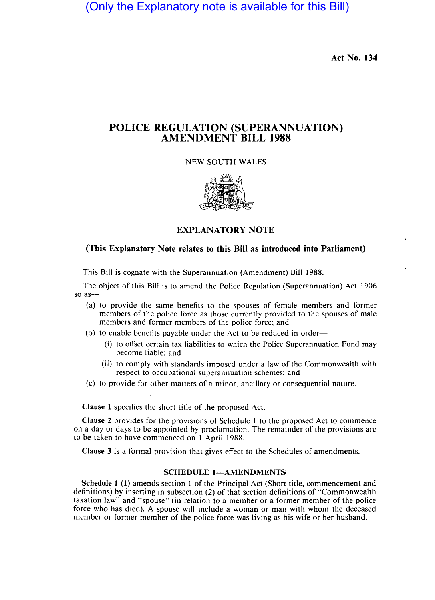(Only the Explanatory note is available for this Bill)

Act No. 134

## POLICE REGULATION (SUPERANNUATION) AMENDMENT BILL 1988

NEW SOUTH WALES



EXPLANATORY NOTE

## (This Explanatory Note relates to this Bill as introduced into Parliament)

This Bill is cognate with the Superannuation (Amendment) Bill 1988.

The object of this Bill is to amend the Police Regulation (Superannuation) Act 1906 so as-

- (a) to provide the same benefits to the spouses of female members and former members of the police force as those currently provided to the spouses of male members and former members of the police force; and
- (b) to enable benefits payable under the Act to be reduced in order-
	- (i) to offset certain tax liabilities to which the Police Superannuation Fund may become liable; and
	- (ii) to comply with standards imposed under a law of the Commonwealth with respect to occupational superannuation schemes; and
- (c) to provide for other matters of a minor, ancillary or consequential nature.

Clause 1 specifies the short title of the proposed Act.

Clause 2 provides for the provisions of Schedule 1 to the proposed Act to commence on a day or days to be appointed by proclamation. The remainder of the provisions are to be taken to have commenced on 1 April 1988.

Clause 3 is a formal provision that gives effect to the Schedules of amendments.

## SCHEDULE 1-AMENDMENTS

Schedule 1 (1) amends section I of the Principal Act (Short title, commencement and definitions) by inserting in subsection (2) of that section definitions of "Commonwealth taxation law" and "spouse" (in relation to a member or a former member of the police force who has died). A spouse will include a woman or man with whom the deceased member or former member of the police force was living as his wife or her husband.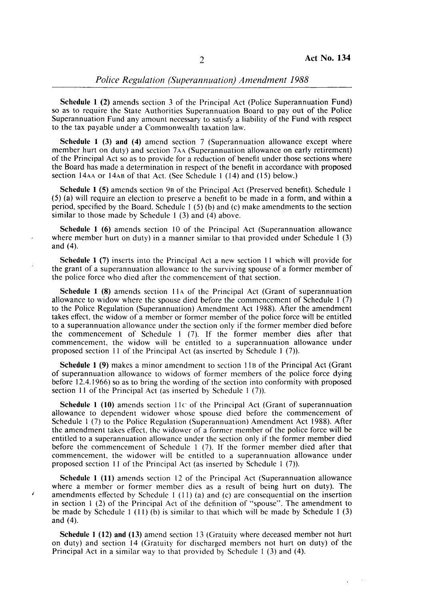Schedule 1 (2) amends section 3 of the Principal Act (Police Superannuation Fund) so as to require the State Authorities Superannuation Board to payout of the Police Superannuation Fund any amount necessary to satisfy a liability of the Fund with respect to the tax payable under a Commonwealth taxation law.

Schedule 1 (3) and (4) amend section 7 (Superannuation allowance except where member hurt on duty) and section 7AA (Superannuation allowance on early retirement) of the Principal Act so as to provide for a reduction of benefit under those sections where the Board has made a determination in respect of the benefit in accordance with proposed section 14AA or 14AB of that Act. (See Schedule 1 (14) and (15) below.)

Schedule 1 (5) amends section 9B of the Principal Act (Preserved benefit). Schedule I (5) (a) will require an election to preserve a benefit to be made in a form, and within a period, specified by the Board. Schedule 1 (5) (b) and (c) make amendments to the section similar to those made by Schedule 1 (3) and (4) above.

Schedule 1 (6) amends section 10 of the Principal Act (Superannuation allowance where member hurt on duty) in a manner similar to that provided under Schedule 1 (3) and (4).

Schedule 1 (7) inserts into the Principal Act a new section 11 which will provide for the grant of a superannuation allowance to the surviving spouse of a former member of the police force who died after the commencement of that section.

Schedule 1 (8) amends section 11A of the Principal Act (Grant of superannuation allowance to widow where the spouse died before the commencement of Schedule 1 (7) to the Police Regulation (Superannuation) Amendment Act 1988). After the amendment takes effect, the widow of a member or former member of the police force will be entitled to a superannuation allowance under the section only if the former member died before the commencement of Schedule I (7). If the former member dies after that commencement, the widow will be entitled to a superannuation allowance under proposed section 11 of the Principal Act (as inserted by Schedule 1 (7».

Schedule 1 (9) makes a minor amendment to section 11B of the Principal Act (Grant of superannuation allowance to widows of former members of the police force dying before 12.4.1966) so as to bring the wording of the section into conformity with proposed section 11 of the Principal Act (as inserted by Schedule 1 (7)).

**Schedule 1 (10)** amends section  $11C$  of the Principal Act (Grant of superannuation allowance to dependent widower whose spouse died before the commencement of Schedule I (7) to the Police Regulation (Superannuation) Amendment Act 1988). After the amendment takes effect, the widower of a former member of the police force will be entitled to a superannuation allowance under the section only if the former member died before the commencement of Schedule I (7). If the former member died after that commencement, the widower will be entitled to a superannuation allowance under proposed section II of the Principal Act (as inserted by Schedule I (7».

Schedule 1 (11) amends section 12 of the Principal Act (Superannuation allowance where a member or former member dies as a result of being hurt on duty). The amendments effected by Schedule 1 (11) (a) and (c) are consequential on the insertion in section 1 (2) of the Principal Act of the definition of "spouse". The amendment to be made by Schedule 1 (11) (b) is similar to that which will be made by Schedule I (3) and (4).

 $\lambda$ 

Schedule 1 (12) and (13) amend section 13 (Gratuity where deceased member not hurt on duty) and section 14 (Gratuity for discharged members not hurt on duty) of the Principal Act in a similar way to that provided by Schedule I (3) and (4).